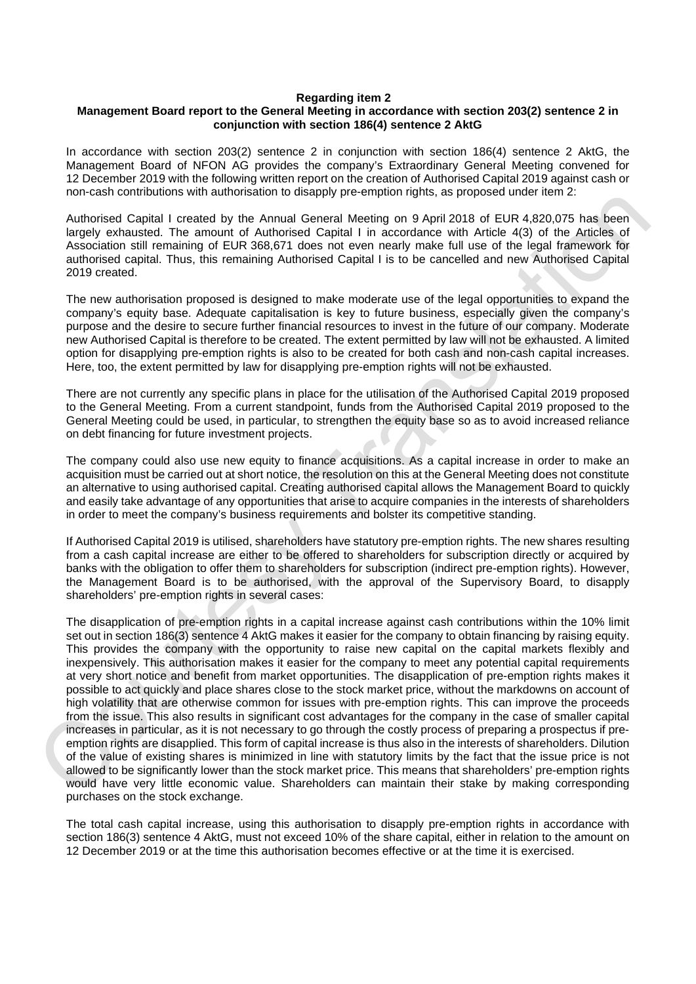## **Regarding item 2**

## **Management Board report to the General Meeting in accordance with section 203(2) sentence 2 in conjunction with section 186(4) sentence 2 AktG**

In accordance with section 203(2) sentence 2 in conjunction with section 186(4) sentence 2 AktG, the Management Board of NFON AG provides the company's Extraordinary General Meeting convened for 12 December 2019 with the following written report on the creation of Authorised Capital 2019 against cash or non-cash contributions with authorisation to disapply pre-emption rights, as proposed under item 2:

Authorised Capital I created by the Annual General Meeting on 9 April 2018 of EUR 4,820,075 has been largely exhausted. The amount of Authorised Capital I in accordance with Article 4(3) of the Articles of Association still remaining of EUR 368,671 does not even nearly make full use of the legal framework for authorised capital. Thus, this remaining Authorised Capital I is to be cancelled and new Authorised Capital 2019 created.

The new authorisation proposed is designed to make moderate use of the legal opportunities to expand the company's equity base. Adequate capitalisation is key to future business, especially given the company's purpose and the desire to secure further financial resources to invest in the future of our company. Moderate new Authorised Capital is therefore to be created. The extent permitted by law will not be exhausted. A limited option for disapplying pre-emption rights is also to be created for both cash and non-cash capital increases. Here, too, the extent permitted by law for disapplying pre-emption rights will not be exhausted.

There are not currently any specific plans in place for the utilisation of the Authorised Capital 2019 proposed to the General Meeting. From a current standpoint, funds from the Authorised Capital 2019 proposed to the General Meeting could be used, in particular, to strengthen the equity base so as to avoid increased reliance on debt financing for future investment projects.

The company could also use new equity to finance acquisitions. As a capital increase in order to make an acquisition must be carried out at short notice, the resolution on this at the General Meeting does not constitute an alternative to using authorised capital. Creating authorised capital allows the Management Board to quickly and easily take advantage of any opportunities that arise to acquire companies in the interests of shareholders in order to meet the company's business requirements and bolster its competitive standing.

If Authorised Capital 2019 is utilised, shareholders have statutory pre-emption rights. The new shares resulting from a cash capital increase are either to be offered to shareholders for subscription directly or acquired by banks with the obligation to offer them to shareholders for subscription (indirect pre-emption rights). However, the Management Board is to be authorised, with the approval of the Supervisory Board, to disapply shareholders' pre-emption rights in several cases:

The disapplication of pre-emption rights in a capital increase against cash contributions within the 10% limit set out in section 186(3) sentence 4 AktG makes it easier for the company to obtain financing by raising equity. This provides the company with the opportunity to raise new capital on the capital markets flexibly and inexpensively. This authorisation makes it easier for the company to meet any potential capital requirements at very short notice and benefit from market opportunities. The disapplication of pre-emption rights makes it possible to act quickly and place shares close to the stock market price, without the markdowns on account of high volatility that are otherwise common for issues with pre-emption rights. This can improve the proceeds from the issue. This also results in significant cost advantages for the company in the case of smaller capital increases in particular, as it is not necessary to go through the costly process of preparing a prospectus if preemption rights are disapplied. This form of capital increase is thus also in the interests of shareholders. Dilution of the value of existing shares is minimized in line with statutory limits by the fact that the issue price is not allowed to be significantly lower than the stock market price. This means that shareholders' pre-emption rights would have very little economic value. Shareholders can maintain their stake by making corresponding purchases on the stock exchange.

The total cash capital increase, using this authorisation to disapply pre-emption rights in accordance with section 186(3) sentence 4 AktG, must not exceed 10% of the share capital, either in relation to the amount on 12 December 2019 or at the time this authorisation becomes effective or at the time it is exercised.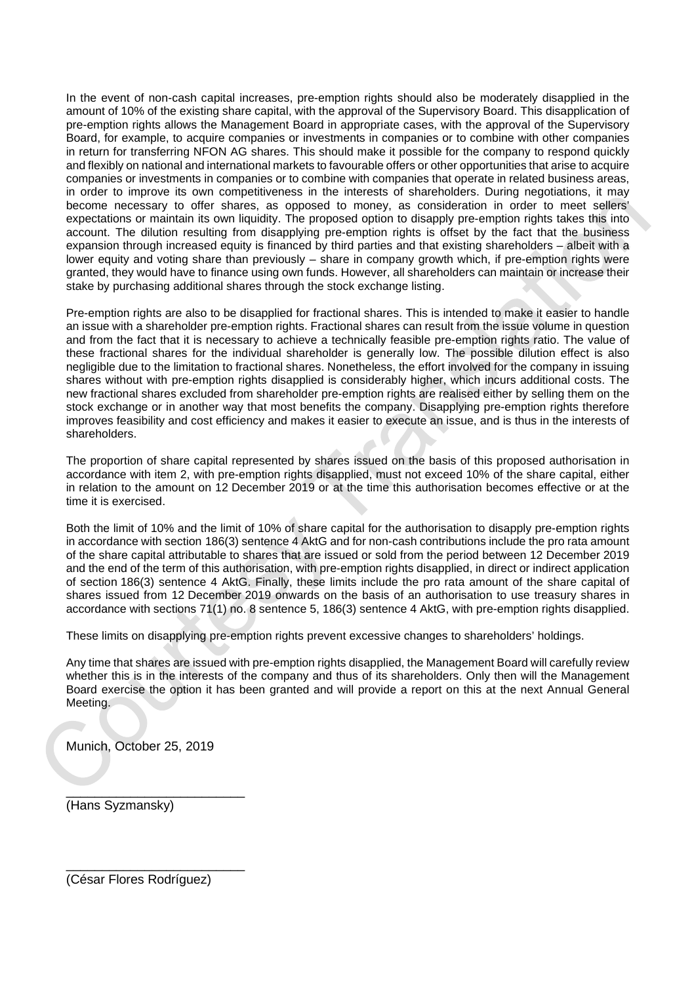In the event of non-cash capital increases, pre-emption rights should also be moderately disapplied in the amount of 10% of the existing share capital, with the approval of the Supervisory Board. This disapplication of pre-emption rights allows the Management Board in appropriate cases, with the approval of the Supervisory Board, for example, to acquire companies or investments in companies or to combine with other companies in return for transferring NFON AG shares. This should make it possible for the company to respond quickly and flexibly on national and international markets to favourable offers or other opportunities that arise to acquire companies or investments in companies or to combine with companies that operate in related business areas, in order to improve its own competitiveness in the interests of shareholders. During negotiations, it may become necessary to offer shares, as opposed to money, as consideration in order to meet sellers' expectations or maintain its own liquidity. The proposed option to disapply pre-emption rights takes this into account. The dilution resulting from disapplying pre-emption rights is offset by the fact that the business expansion through increased equity is financed by third parties and that existing shareholders – albeit with a lower equity and voting share than previously – share in company growth which, if pre-emption rights were granted, they would have to finance using own funds. However, all shareholders can maintain or increase their stake by purchasing additional shares through the stock exchange listing.

Pre-emption rights are also to be disapplied for fractional shares. This is intended to make it easier to handle an issue with a shareholder pre-emption rights. Fractional shares can result from the issue volume in question and from the fact that it is necessary to achieve a technically feasible pre-emption rights ratio. The value of these fractional shares for the individual shareholder is generally low. The possible dilution effect is also negligible due to the limitation to fractional shares. Nonetheless, the effort involved for the company in issuing shares without with pre-emption rights disapplied is considerably higher, which incurs additional costs. The new fractional shares excluded from shareholder pre-emption rights are realised either by selling them on the stock exchange or in another way that most benefits the company. Disapplying pre-emption rights therefore improves feasibility and cost efficiency and makes it easier to execute an issue, and is thus in the interests of shareholders.

The proportion of share capital represented by shares issued on the basis of this proposed authorisation in accordance with item 2, with pre-emption rights disapplied, must not exceed 10% of the share capital, either in relation to the amount on 12 December 2019 or at the time this authorisation becomes effective or at the time it is exercised.

Both the limit of 10% and the limit of 10% of share capital for the authorisation to disapply pre-emption rights in accordance with section 186(3) sentence 4 AktG and for non-cash contributions include the pro rata amount of the share capital attributable to shares that are issued or sold from the period between 12 December 2019 and the end of the term of this authorisation, with pre-emption rights disapplied, in direct or indirect application of section 186(3) sentence 4 AktG. Finally, these limits include the pro rata amount of the share capital of shares issued from 12 December 2019 onwards on the basis of an authorisation to use treasury shares in accordance with sections 71(1) no. 8 sentence 5, 186(3) sentence 4 AktG, with pre-emption rights disapplied.

These limits on disapplying pre-emption rights prevent excessive changes to shareholders' holdings.

Any time that shares are issued with pre-emption rights disapplied, the Management Board will carefully review whether this is in the interests of the company and thus of its shareholders. Only then will the Management Board exercise the option it has been granted and will provide a report on this at the next Annual General Meeting.

Munich, October 25, 2019

\_\_\_\_\_\_\_\_\_\_\_\_\_\_\_\_\_\_\_\_\_\_\_\_\_

\_\_\_\_\_\_\_\_\_\_\_\_\_\_\_\_\_\_\_\_\_\_\_\_\_

(Hans Syzmansky)

(César Flores Rodríguez)